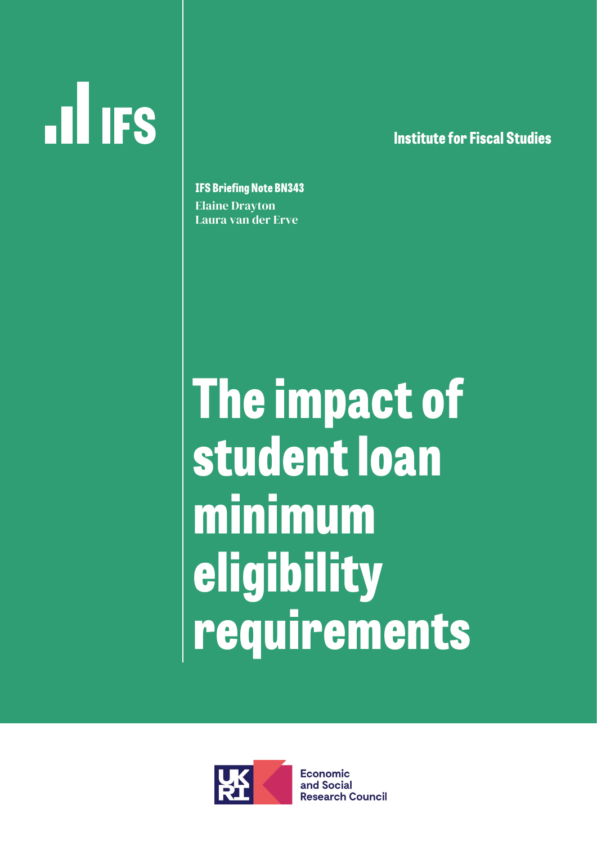# **ILL IFS**

**lnstitute for Fiscal Studies**

**IFS Briefing Note BN343** Elaine Drayton Laura van der Erve

**The impact of student loan minimum eligibility requirements** 



**Economic** and Social **Research Council**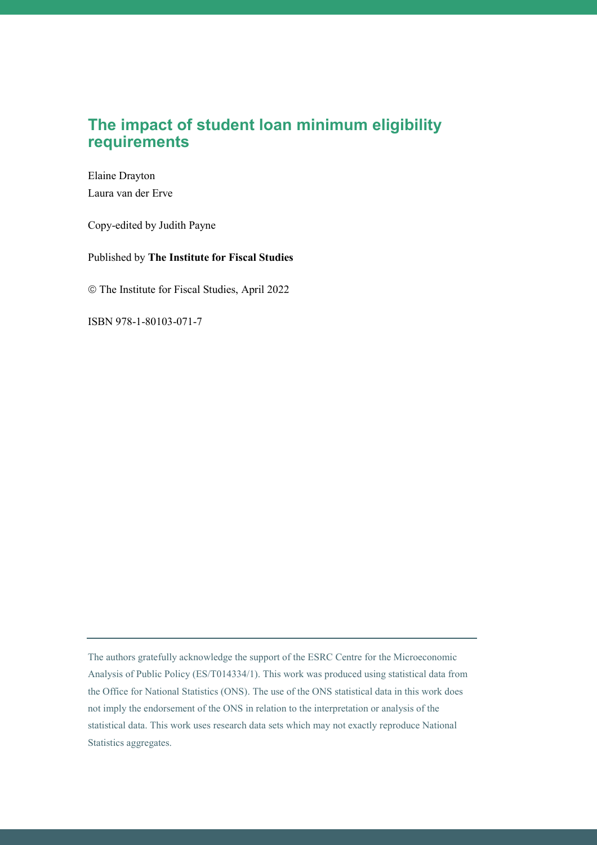Elaine Drayton Laura van der Erve

Copy-edited by Judith Payne

Published by **The Institute for Fiscal Studies**

The Institute for Fiscal Studies, April 2022

ISBN 978-1-80103-071-7

The authors gratefully acknowledge the support of the ESRC Centre for the Microeconomic Analysis of Public Policy (ES/T014334/1). This work was produced using statistical data from the Office for National Statistics (ONS). The use of the ONS statistical data in this work does not imply the endorsement of the ONS in relation to the interpretation or analysis of the statistical data. This work uses research data sets which may not exactly reproduce National Statistics aggregates.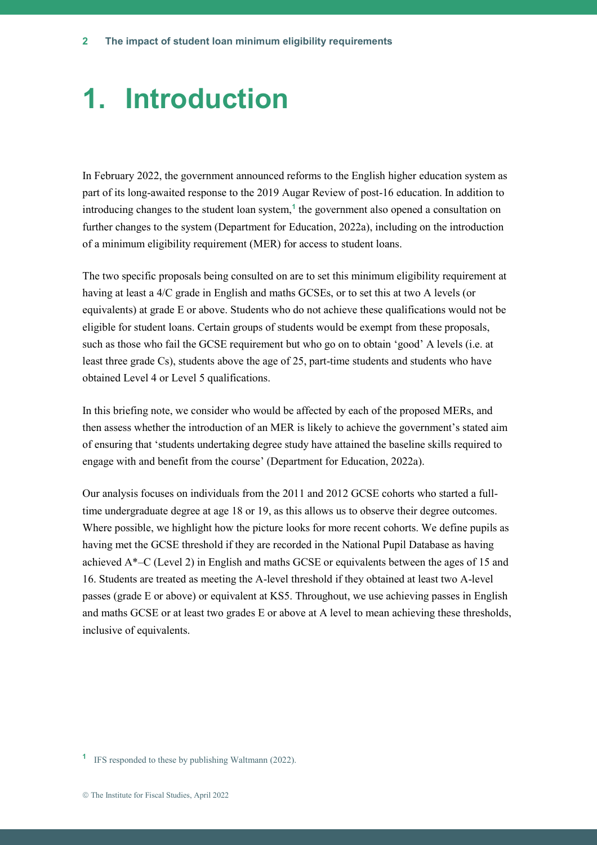## **1. Introduction**

In February 2022, the government announced reforms to the English higher education system as part of its long-awaited response to the 2019 Augar Review of post-16 education. In addition to introducing changes to the student loan system,**<sup>1</sup>** the government also opened a consultation on further changes to the system (Department for Education, 2022a), including on the introduction of a minimum eligibility requirement (MER) for access to student loans.

The two specific proposals being consulted on are to set this minimum eligibility requirement at having at least a 4/C grade in English and maths GCSEs, or to set this at two A levels (or equivalents) at grade E or above. Students who do not achieve these qualifications would not be eligible for student loans. Certain groups of students would be exempt from these proposals, such as those who fail the GCSE requirement but who go on to obtain 'good' A levels (i.e. at least three grade Cs), students above the age of 25, part-time students and students who have obtained Level 4 or Level 5 qualifications.

In this briefing note, we consider who would be affected by each of the proposed MERs, and then assess whether the introduction of an MER is likely to achieve the government's stated aim of ensuring that 'students undertaking degree study have attained the baseline skills required to engage with and benefit from the course' (Department for Education, 2022a).

Our analysis focuses on individuals from the 2011 and 2012 GCSE cohorts who started a fulltime undergraduate degree at age 18 or 19, as this allows us to observe their degree outcomes. Where possible, we highlight how the picture looks for more recent cohorts. We define pupils as having met the GCSE threshold if they are recorded in the National Pupil Database as having achieved A\*–C (Level 2) in English and maths GCSE or equivalents between the ages of 15 and 16. Students are treated as meeting the A-level threshold if they obtained at least two A-level passes (grade E or above) or equivalent at KS5. Throughout, we use achieving passes in English and maths GCSE or at least two grades E or above at A level to mean achieving these thresholds, inclusive of equivalents.

**<sup>1</sup>** IFS responded to these by publishing Waltmann (2022).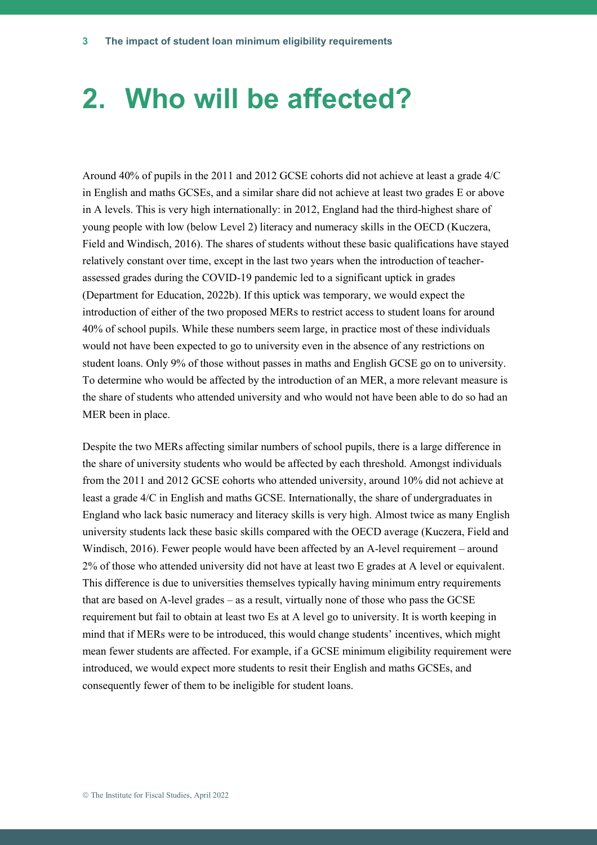## **2. Who will be affected?**

Around 40% of pupils in the 2011 and 2012 GCSE cohorts did not achieve at least a grade 4/C in English and maths GCSEs, and a similar share did not achieve at least two grades E or above in A levels. This is very high internationally: in 2012, England had the third-highest share of young people with low (below Level 2) literacy and numeracy skills in the OECD (Kuczera, Field and Windisch, 2016). The shares of students without these basic qualifications have stayed relatively constant over time, except in the last two years when the introduction of teacherassessed grades during the COVID-19 pandemic led to a significant uptick in grades (Department for Education, 2022b). If this uptick was temporary, we would expect the introduction of either of the two proposed MERs to restrict access to student loans for around 40% of school pupils. While these numbers seem large, in practice most of these individuals would not have been expected to go to university even in the absence of any restrictions on student loans. Only 9% of those without passes in maths and English GCSE go on to university. To determine who would be affected by the introduction of an MER, a more relevant measure is the share of students who attended university and who would not have been able to do so had an MER been in place.

Despite the two MERs affecting similar numbers of school pupils, there is a large difference in the share of university students who would be affected by each threshold. Amongst individuals from the 2011 and 2012 GCSE cohorts who attended university, around 10% did not achieve at least a grade 4/C in English and maths GCSE. Internationally, the share of undergraduates in England who lack basic numeracy and literacy skills is very high. Almost twice as many English university students lack these basic skills compared with the OECD average (Kuczera, Field and Windisch, 2016). Fewer people would have been affected by an A-level requirement – around 2% of those who attended university did not have at least two E grades at A level or equivalent. This difference is due to universities themselves typically having minimum entry requirements that are based on A-level grades – as a result, virtually none of those who pass the GCSE requirement but fail to obtain at least two Es at A level go to university. It is worth keeping in mind that if MERs were to be introduced, this would change students' incentives, which might mean fewer students are affected. For example, if a GCSE minimum eligibility requirement were introduced, we would expect more students to resit their English and maths GCSEs, and consequently fewer of them to be ineligible for student loans.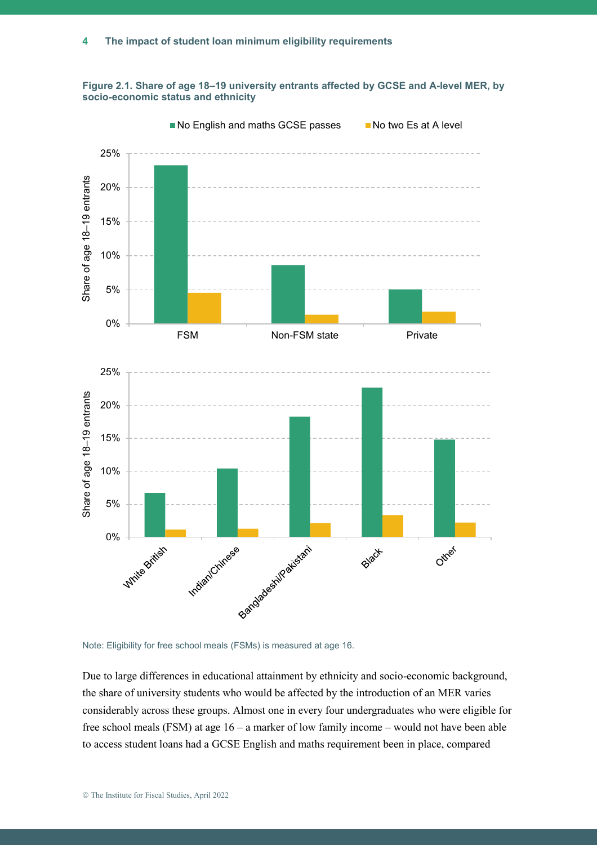



Note: Eligibility for free school meals (FSMs) is measured at age 16.

Due to large differences in educational attainment by ethnicity and socio-economic background, the share of university students who would be affected by the introduction of an MER varies considerably across these groups. Almost one in every four undergraduates who were eligible for free school meals (FSM) at age 16 – a marker of low family income – would not have been able to access student loans had a GCSE English and maths requirement been in place, compared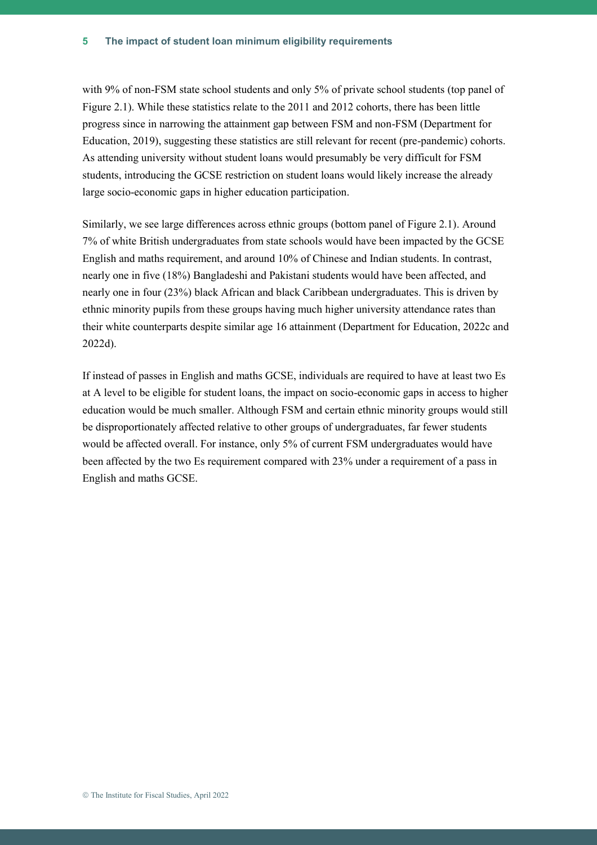with 9% of non-FSM state school students and only 5% of private school students (top panel of Figure 2.1). While these statistics relate to the 2011 and 2012 cohorts, there has been little progress since in narrowing the attainment gap between FSM and non-FSM (Department for Education, 2019), suggesting these statistics are still relevant for recent (pre-pandemic) cohorts. As attending university without student loans would presumably be very difficult for FSM students, introducing the GCSE restriction on student loans would likely increase the already large socio-economic gaps in higher education participation.

Similarly, we see large differences across ethnic groups (bottom panel of Figure 2.1). Around 7% of white British undergraduates from state schools would have been impacted by the GCSE English and maths requirement, and around 10% of Chinese and Indian students. In contrast, nearly one in five (18%) Bangladeshi and Pakistani students would have been affected, and nearly one in four (23%) black African and black Caribbean undergraduates. This is driven by ethnic minority pupils from these groups having much higher university attendance rates than their white counterparts despite similar age 16 attainment (Department for Education, 2022c and 2022d).

If instead of passes in English and maths GCSE, individuals are required to have at least two Es at A level to be eligible for student loans, the impact on socio-economic gaps in access to higher education would be much smaller. Although FSM and certain ethnic minority groups would still be disproportionately affected relative to other groups of undergraduates, far fewer students would be affected overall. For instance, only 5% of current FSM undergraduates would have been affected by the two Es requirement compared with 23% under a requirement of a pass in English and maths GCSE.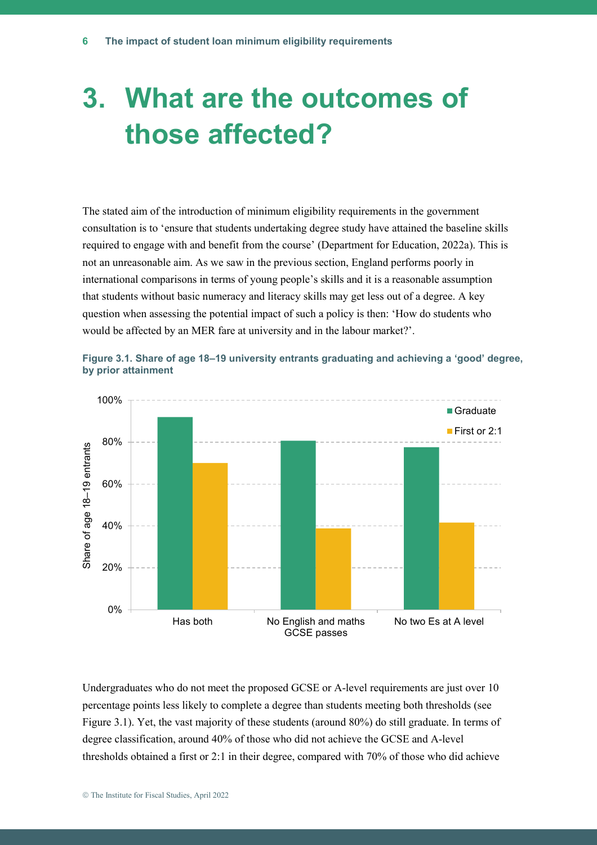## **3. What are the outcomes of those affected?**

The stated aim of the introduction of minimum eligibility requirements in the government consultation is to 'ensure that students undertaking degree study have attained the baseline skills required to engage with and benefit from the course' (Department for Education, 2022a). This is not an unreasonable aim. As we saw in the previous section, England performs poorly in international comparisons in terms of young people's skills and it is a reasonable assumption that students without basic numeracy and literacy skills may get less out of a degree. A key question when assessing the potential impact of such a policy is then: 'How do students who would be affected by an MER fare at university and in the labour market?'.



**Figure 3.1. Share of age 18–19 university entrants graduating and achieving a 'good' degree, by prior attainment**

Undergraduates who do not meet the proposed GCSE or A-level requirements are just over 10 percentage points less likely to complete a degree than students meeting both thresholds (see Figure 3.1). Yet, the vast majority of these students (around 80%) do still graduate. In terms of degree classification, around 40% of those who did not achieve the GCSE and A-level thresholds obtained a first or 2:1 in their degree, compared with 70% of those who did achieve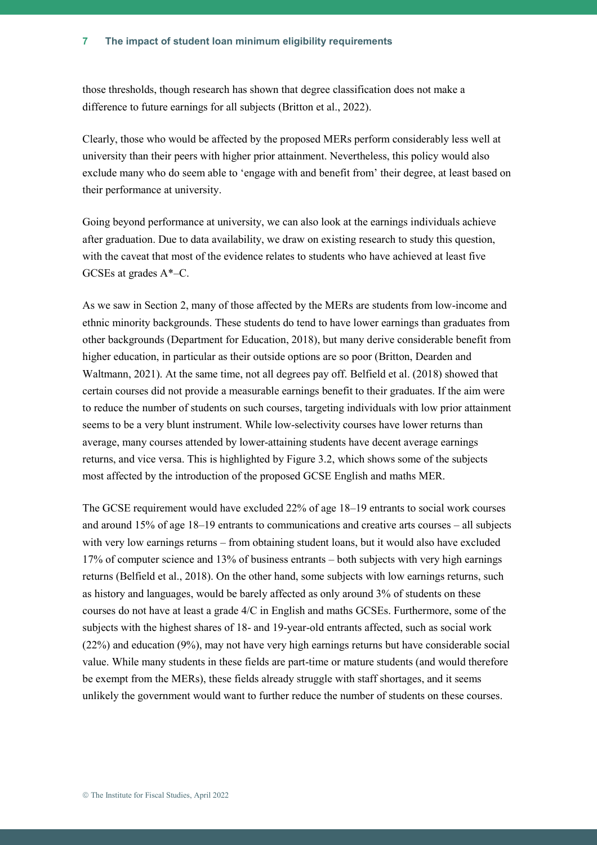those thresholds, though research has shown that degree classification does not make a difference to future earnings for all subjects (Britton et al., 2022).

Clearly, those who would be affected by the proposed MERs perform considerably less well at university than their peers with higher prior attainment. Nevertheless, this policy would also exclude many who do seem able to 'engage with and benefit from' their degree, at least based on their performance at university.

Going beyond performance at university, we can also look at the earnings individuals achieve after graduation. Due to data availability, we draw on existing research to study this question, with the caveat that most of the evidence relates to students who have achieved at least five GCSEs at grades A\*–C.

As we saw in Section 2, many of those affected by the MERs are students from low-income and ethnic minority backgrounds. These students do tend to have lower earnings than graduates from other backgrounds (Department for Education, 2018), but many derive considerable benefit from higher education, in particular as their outside options are so poor (Britton, Dearden and Waltmann, 2021). At the same time, not all degrees pay off. Belfield et al. (2018) showed that certain courses did not provide a measurable earnings benefit to their graduates. If the aim were to reduce the number of students on such courses, targeting individuals with low prior attainment seems to be a very blunt instrument. While low-selectivity courses have lower returns than average, many courses attended by lower-attaining students have decent average earnings returns, and vice versa. This is highlighted by Figure 3.2, which shows some of the subjects most affected by the introduction of the proposed GCSE English and maths MER.

The GCSE requirement would have excluded 22% of age 18–19 entrants to social work courses and around 15% of age 18–19 entrants to communications and creative arts courses – all subjects with very low earnings returns – from obtaining student loans, but it would also have excluded 17% of computer science and 13% of business entrants – both subjects with very high earnings returns (Belfield et al., 2018). On the other hand, some subjects with low earnings returns, such as history and languages, would be barely affected as only around 3% of students on these courses do not have at least a grade 4/C in English and maths GCSEs. Furthermore, some of the subjects with the highest shares of 18- and 19-year-old entrants affected, such as social work (22%) and education (9%), may not have very high earnings returns but have considerable social value. While many students in these fields are part-time or mature students (and would therefore be exempt from the MERs), these fields already struggle with staff shortages, and it seems unlikely the government would want to further reduce the number of students on these courses.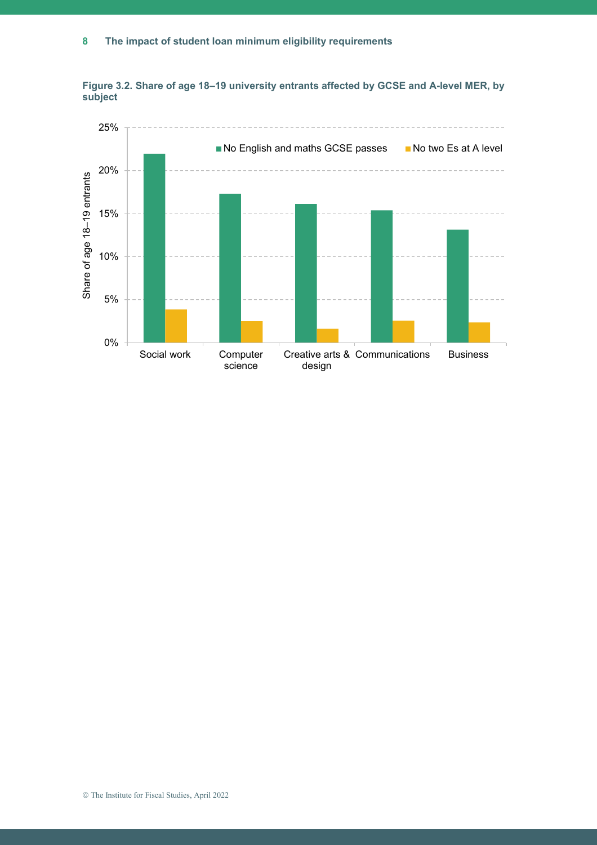

**Figure 3.2. Share of age 18–19 university entrants affected by GCSE and A-level MER, by subject**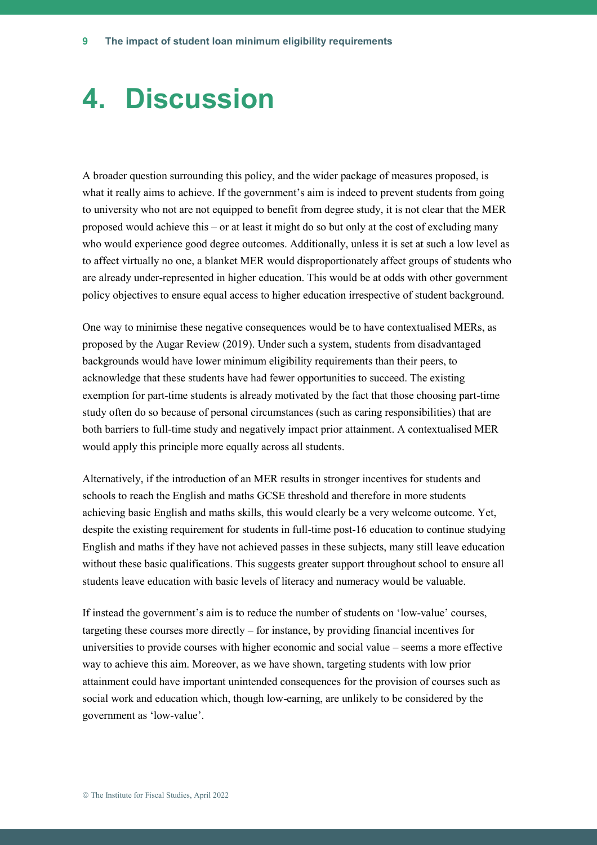## **4. Discussion**

A broader question surrounding this policy, and the wider package of measures proposed, is what it really aims to achieve. If the government's aim is indeed to prevent students from going to university who not are not equipped to benefit from degree study, it is not clear that the MER proposed would achieve this – or at least it might do so but only at the cost of excluding many who would experience good degree outcomes. Additionally, unless it is set at such a low level as to affect virtually no one, a blanket MER would disproportionately affect groups of students who are already under-represented in higher education. This would be at odds with other government policy objectives to ensure equal access to higher education irrespective of student background.

One way to minimise these negative consequences would be to have contextualised MERs, as proposed by the Augar Review (2019). Under such a system, students from disadvantaged backgrounds would have lower minimum eligibility requirements than their peers, to acknowledge that these students have had fewer opportunities to succeed. The existing exemption for part-time students is already motivated by the fact that those choosing part-time study often do so because of personal circumstances (such as caring responsibilities) that are both barriers to full-time study and negatively impact prior attainment. A contextualised MER would apply this principle more equally across all students.

Alternatively, if the introduction of an MER results in stronger incentives for students and schools to reach the English and maths GCSE threshold and therefore in more students achieving basic English and maths skills, this would clearly be a very welcome outcome. Yet, despite the existing requirement for students in full-time post-16 education to continue studying English and maths if they have not achieved passes in these subjects, many still leave education without these basic qualifications. This suggests greater support throughout school to ensure all students leave education with basic levels of literacy and numeracy would be valuable.

If instead the government's aim is to reduce the number of students on 'low-value' courses, targeting these courses more directly – for instance, by providing financial incentives for universities to provide courses with higher economic and social value – seems a more effective way to achieve this aim. Moreover, as we have shown, targeting students with low prior attainment could have important unintended consequences for the provision of courses such as social work and education which, though low-earning, are unlikely to be considered by the government as 'low-value'.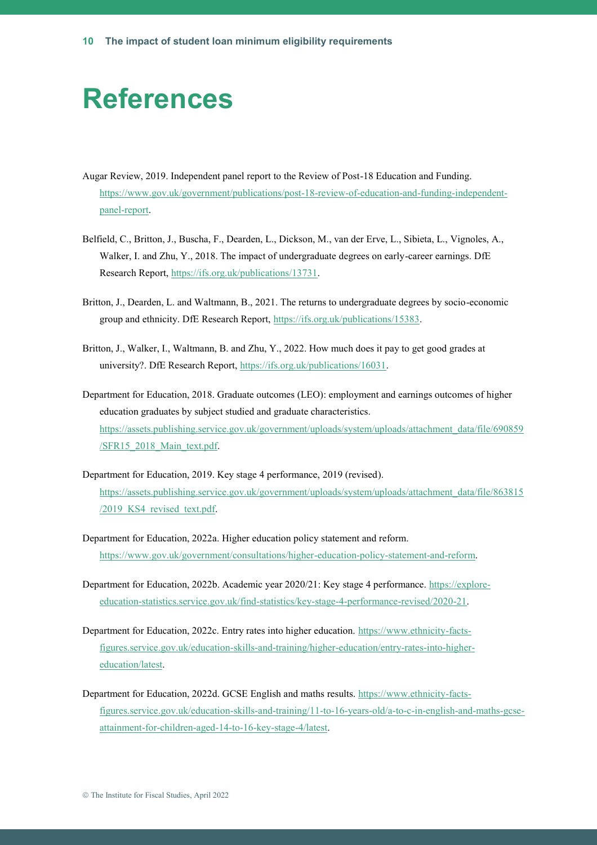#### **References**

- Augar Review, 2019. Independent panel report to the Review of Post-18 Education and Funding. [https://www.gov.uk/government/publications/post-18-review-of-education-and-funding-independent](https://www.gov.uk/government/publications/post-18-review-of-education-and-funding-independent-panel-report)[panel-report.](https://www.gov.uk/government/publications/post-18-review-of-education-and-funding-independent-panel-report)
- Belfield, C., Britton, J., Buscha, F., Dearden, L., Dickson, M., van der Erve, L., Sibieta, L., Vignoles, A., Walker, I. and Zhu, Y., 2018. The impact of undergraduate degrees on early-career earnings. DfE Research Report[, https://ifs.org.uk/publications/13731.](https://ifs.org.uk/publications/13731)
- Britton, J., Dearden, L. and Waltmann, B., 2021. The returns to undergraduate degrees by socio-economic group and ethnicity. DfE Research Report, [https://ifs.org.uk/publications/15383.](https://ifs.org.uk/publications/15383)
- Britton, J., Walker, I., Waltmann, B. and Zhu, Y., 2022. How much does it pay to get good grades at university?. DfE Research Report, [https://ifs.org.uk/publications/16031.](https://ifs.org.uk/publications/16031)
- Department for Education, 2018. Graduate outcomes (LEO): employment and earnings outcomes of higher education graduates by subject studied and graduate characteristics. [https://assets.publishing.service.gov.uk/government/uploads/system/uploads/attachment\\_data/file/690859](https://assets.publishing.service.gov.uk/government/uploads/system/uploads/attachment_data/file/690859/SFR15_2018_Main_text.pdf) [/SFR15\\_2018\\_Main\\_text.pdf.](https://assets.publishing.service.gov.uk/government/uploads/system/uploads/attachment_data/file/690859/SFR15_2018_Main_text.pdf)
- Department for Education, 2019. Key stage 4 performance, 2019 (revised). [https://assets.publishing.service.gov.uk/government/uploads/system/uploads/attachment\\_data/file/863815](https://assets.publishing.service.gov.uk/government/uploads/system/uploads/attachment_data/file/863815/2019_KS4_revised_text.pdf) [/2019\\_KS4\\_revised\\_text.pdf.](https://assets.publishing.service.gov.uk/government/uploads/system/uploads/attachment_data/file/863815/2019_KS4_revised_text.pdf)
- Department for Education, 2022a. Higher education policy statement and reform. [https://www.gov.uk/government/consultations/higher-education-policy-statement-and-reform.](https://www.gov.uk/government/consultations/higher-education-policy-statement-and-reform)
- Department for Education, 2022b. Academic year 2020/21: Key stage 4 performance. [https://explore](https://explore-education-statistics.service.gov.uk/find-statistics/key-stage-4-performance-revised/2020-21)[education-statistics.service.gov.uk/find-statistics/key-stage-4-performance-revised/2020-21.](https://explore-education-statistics.service.gov.uk/find-statistics/key-stage-4-performance-revised/2020-21)
- Department for Education, 2022c. Entry rates into higher education. [https://www.ethnicity-facts](https://www.ethnicity-facts-figures.service.gov.uk/education-skills-and-training/higher-education/entry-rates-into-higher-education/latest)[figures.service.gov.uk/education-skills-and-training/higher-education/entry-rates-into-higher](https://www.ethnicity-facts-figures.service.gov.uk/education-skills-and-training/higher-education/entry-rates-into-higher-education/latest)[education/latest.](https://www.ethnicity-facts-figures.service.gov.uk/education-skills-and-training/higher-education/entry-rates-into-higher-education/latest)
- Department for Education, 2022d. GCSE English and maths results. [https://www.ethnicity-facts](https://www.ethnicity-facts-figures.service.gov.uk/education-skills-and-training/11-to-16-years-old/a-to-c-in-english-and-maths-gcse-attainment-for-children-aged-14-to-16-key-stage-4/latest)[figures.service.gov.uk/education-skills-and-training/11-to-16-years-old/a-to-c-in-english-and-maths-gcse](https://www.ethnicity-facts-figures.service.gov.uk/education-skills-and-training/11-to-16-years-old/a-to-c-in-english-and-maths-gcse-attainment-for-children-aged-14-to-16-key-stage-4/latest)[attainment-for-children-aged-14-to-16-key-stage-4/latest.](https://www.ethnicity-facts-figures.service.gov.uk/education-skills-and-training/11-to-16-years-old/a-to-c-in-english-and-maths-gcse-attainment-for-children-aged-14-to-16-key-stage-4/latest)